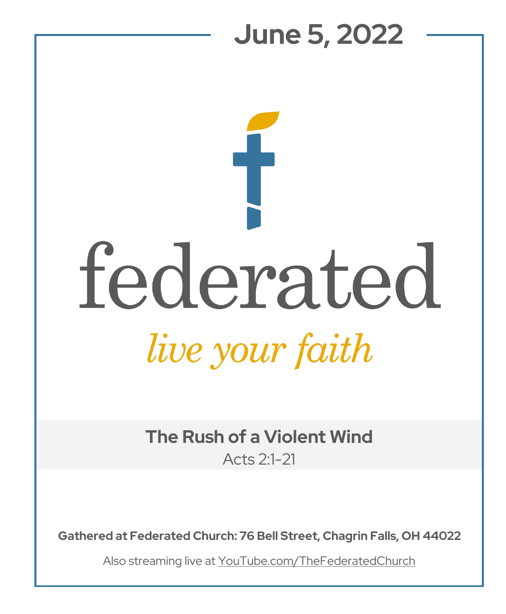## **June 5, 2022**  federated live your faith

**The Rush of a Violent Wind** Acts 2:1-21

**Gathered at Federated Church: 76 Bell Street, Chagrin Falls, OH 44022**

Also streaming live at YouTube.com/TheFederatedChurch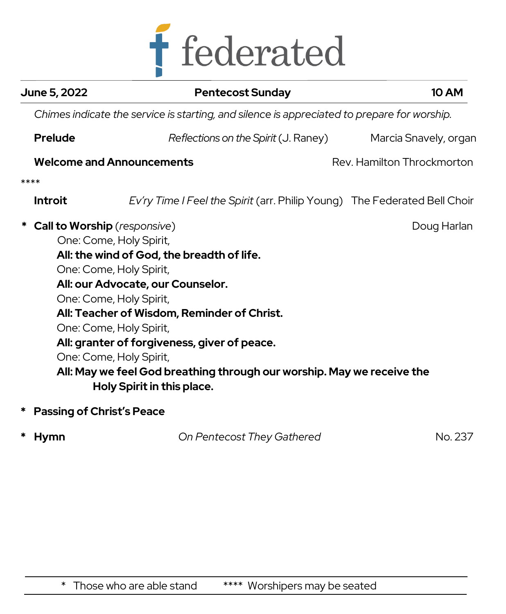

| June 5, 2022 |                                                                                             | <b>Pentecost Sunday</b>                                                                              | <b>10 AM</b>               |  |  |
|--------------|---------------------------------------------------------------------------------------------|------------------------------------------------------------------------------------------------------|----------------------------|--|--|
|              | Chimes indicate the service is starting, and silence is appreciated to prepare for worship. |                                                                                                      |                            |  |  |
|              | <b>Prelude</b>                                                                              | Reflections on the Spirit (J. Raney)                                                                 | Marcia Snavely, organ      |  |  |
|              |                                                                                             | <b>Welcome and Announcements</b>                                                                     | Rev. Hamilton Throckmorton |  |  |
|              | ****                                                                                        |                                                                                                      |                            |  |  |
|              | Introit                                                                                     | Ev'ry Time I Feel the Spirit (arr. Philip Young) The Federated Bell Choir                            |                            |  |  |
|              | <b>Call to Worship</b> (responsive)                                                         |                                                                                                      | Doug Harlan                |  |  |
|              |                                                                                             | One: Come, Holy Spirit,                                                                              |                            |  |  |
|              |                                                                                             | All: the wind of God, the breadth of life.                                                           |                            |  |  |
|              |                                                                                             | One: Come, Holy Spirit,                                                                              |                            |  |  |
|              |                                                                                             | All: our Advocate, our Counselor.                                                                    |                            |  |  |
|              |                                                                                             | One: Come, Holy Spirit,                                                                              |                            |  |  |
|              | All: Teacher of Wisdom, Reminder of Christ.                                                 |                                                                                                      |                            |  |  |
|              |                                                                                             | One: Come, Holy Spirit,                                                                              |                            |  |  |
|              | All: granter of forgiveness, giver of peace.                                                |                                                                                                      |                            |  |  |
|              |                                                                                             | One: Come, Holy Spirit,                                                                              |                            |  |  |
|              |                                                                                             | All: May we feel God breathing through our worship. May we receive the<br>Holy Spirit in this place. |                            |  |  |

**\* Passing of Christ's Peace** 

|  | * Hymn | On Pentecost They Gathered | No. 237 |
|--|--------|----------------------------|---------|
|--|--------|----------------------------|---------|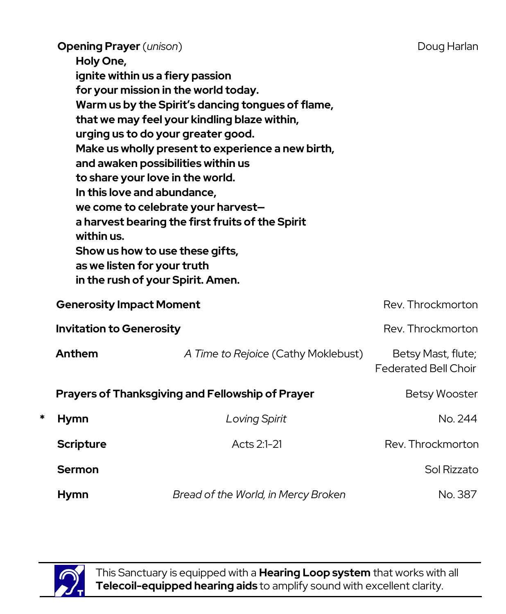|                                                         | <b>Opening Prayer</b> (unison)<br>Holy One,<br>ignite within us a fiery passion<br>for your mission in the world today.<br>Warm us by the Spirit's dancing tongues of flame,<br>that we may feel your kindling blaze within,<br>urging us to do your greater good.<br>Make us wholly present to experience a new birth,<br>and awaken possibilities within us<br>to share your love in the world.<br>In this love and abundance,<br>we come to celebrate your harvest-<br>a harvest bearing the first fruits of the Spirit<br>within us.<br>Show us how to use these gifts,<br>as we listen for your truth<br>in the rush of your Spirit. Amen. |                                     | Doug Harlan                                       |
|---------------------------------------------------------|-------------------------------------------------------------------------------------------------------------------------------------------------------------------------------------------------------------------------------------------------------------------------------------------------------------------------------------------------------------------------------------------------------------------------------------------------------------------------------------------------------------------------------------------------------------------------------------------------------------------------------------------------|-------------------------------------|---------------------------------------------------|
|                                                         | <b>Generosity Impact Moment</b>                                                                                                                                                                                                                                                                                                                                                                                                                                                                                                                                                                                                                 |                                     | Rev. Throckmorton                                 |
|                                                         | <b>Invitation to Generosity</b>                                                                                                                                                                                                                                                                                                                                                                                                                                                                                                                                                                                                                 |                                     | Rev. Throckmorton                                 |
|                                                         | Anthem                                                                                                                                                                                                                                                                                                                                                                                                                                                                                                                                                                                                                                          | A Time to Rejoice (Cathy Moklebust) | Betsy Mast, flute;<br><b>Federated Bell Choir</b> |
| <b>Prayers of Thanksgiving and Fellowship of Prayer</b> |                                                                                                                                                                                                                                                                                                                                                                                                                                                                                                                                                                                                                                                 |                                     | <b>Betsy Wooster</b>                              |
| *                                                       | <b>Hymn</b>                                                                                                                                                                                                                                                                                                                                                                                                                                                                                                                                                                                                                                     | <b>Loving Spirit</b>                | No. 244                                           |
|                                                         | <b>Scripture</b>                                                                                                                                                                                                                                                                                                                                                                                                                                                                                                                                                                                                                                | Acts 2:1-21                         | Rev. Throckmorton                                 |
|                                                         | <b>Sermon</b>                                                                                                                                                                                                                                                                                                                                                                                                                                                                                                                                                                                                                                   |                                     | Sol Rizzato                                       |
|                                                         | <b>Hymn</b>                                                                                                                                                                                                                                                                                                                                                                                                                                                                                                                                                                                                                                     | Bread of the World, in Mercy Broken | No. 387                                           |